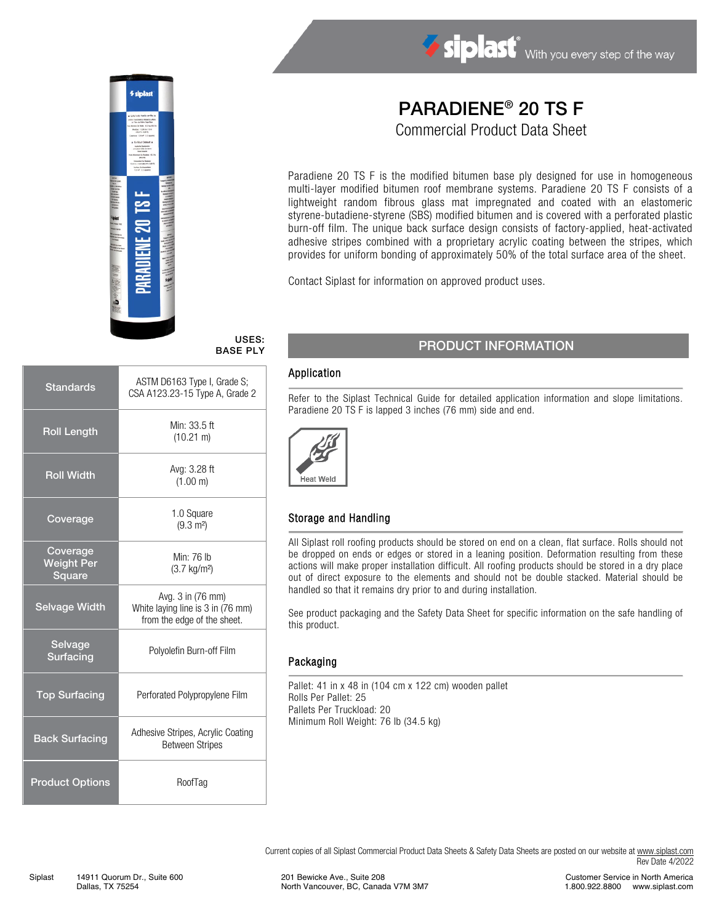

# Siplast With you every step of the way

# PARADIENE® 20 TS F

Commercial Product Data Sheet

Paradiene 20 TS F is the modified bitumen base ply designed for use in homogeneous multi-layer modified bitumen roof membrane systems. Paradiene 20 TS F consists of a lightweight random fibrous glass mat impregnated and coated with an elastomeric styrene-butadiene-styrene (SBS) modified bitumen and is covered with a perforated plastic burn-off film. The unique back surface design consists of factory-applied, heat-activated adhesive stripes combined with a proprietary acrylic coating between the stripes, which provides for uniform bonding of approximately 50% of the total surface area of the sheet.

Contact Siplast for information on approved product uses.

#### USES: BASE PLY

| Standards                               | ASTM D6163 Type I, Grade S;<br>CSA A123.23-15 Type A, Grade 2                         |  |
|-----------------------------------------|---------------------------------------------------------------------------------------|--|
| <b>Roll Length</b>                      | Min: 33.5 ft<br>$(10.21 \text{ m})$                                                   |  |
| <b>Roll Width</b>                       | Avg: 3.28 ft<br>(1.00 m)                                                              |  |
| Coverage                                | 1.0 Square<br>$(9.3 \text{ m}^2)$                                                     |  |
| Coverage<br><b>Weight Per</b><br>Square | Min: 76 lb<br>$(3.7 \text{ kg/m}^2)$                                                  |  |
| <b>Selvage Width</b>                    | Avg. 3 in (76 mm)<br>White laying line is 3 in (76 mm)<br>from the edge of the sheet. |  |
| Selvage<br><b>Surfacing</b>             | Polyolefin Burn-off Film                                                              |  |
| <b>Top Surfacing</b>                    | Perforated Polypropylene Film                                                         |  |
| <b>Back Surfacing</b>                   | Adhesive Stripes, Acrylic Coating<br><b>Between Stripes</b>                           |  |
| <b>Product Options</b>                  | RoofTag                                                                               |  |

## PRODUCT INFORMATION

#### Application

Refer to the Siplast Technical Guide for detailed application information and slope limitations. Paradiene 20 TS F is lapped 3 inches (76 mm) side and end.



### Storage and Handling

All Siplast roll roofing products should be stored on end on a clean, flat surface. Rolls should not be dropped on ends or edges or stored in a leaning position. Deformation resulting from these actions will make proper installation difficult. All roofing products should be stored in a dry place out of direct exposure to the elements and should not be double stacked. Material should be handled so that it remains dry prior to and during installation.

See product packaging and the Safety Data Sheet for specific information on the safe handling of this product.

### Packaging

Pallet: 41 in x 48 in (104 cm x 122 cm) wooden pallet Rolls Per Pallet: 25 Pallets Per Truckload: 20 Minimum Roll Weight: 76 lb (34.5 kg)

Current copies of all Siplast Commercial Product Data Sheets & Safety Data Sheets are posted on our website at [www.siplast.com](http://www.siplast.com/) Rev Date 4/2022